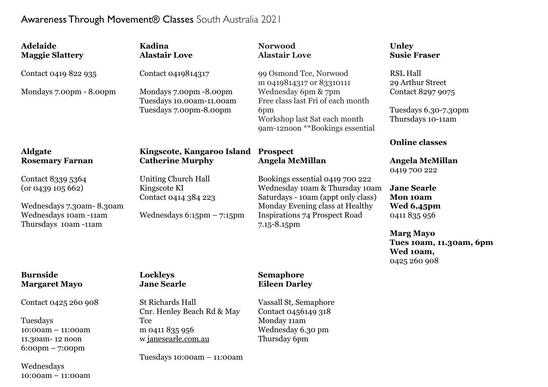## Awareness Through Movement® Classes South Australia 2021

| <b>Adelaide</b>                                                                                                    | Kadina                                                                                             | <b>Norwood</b>                                                                                                                                                                                    | Unley                                                                                                                                                    |
|--------------------------------------------------------------------------------------------------------------------|----------------------------------------------------------------------------------------------------|---------------------------------------------------------------------------------------------------------------------------------------------------------------------------------------------------|----------------------------------------------------------------------------------------------------------------------------------------------------------|
| <b>Maggie Slattery</b>                                                                                             | <b>Alastair Love</b>                                                                               | <b>Alastair Love</b>                                                                                                                                                                              | <b>Susie Fraser</b>                                                                                                                                      |
| Contact 0419 822 935<br>Mondays 7.00pm - 8.00pm                                                                    | Contact 0419814317<br>Mondays 7.00pm -8.00pm<br>Tuesdays 10.00am-11.00am<br>Tuesdays 7.00pm-8.00pm | 99 Osmond Tce, Norwood<br>m 0419814317 or 83310111<br>Wednesday 6pm & 7pm<br>Free class last Fri of each month<br>6pm<br>Workshop last Sat each month<br>9am-12noon **Bookings essential          | <b>RSL Hall</b><br>29 Arthur Street<br>Contact 8297 9075<br>Tuesdays 6.30-7.30pm<br>Thursdays 10-11am                                                    |
| <b>Aldgate</b>                                                                                                     | Kingscote, Kangaroo Island Prospect                                                                | <b>Angela McMillan</b>                                                                                                                                                                            | <b>Online classes</b>                                                                                                                                    |
| <b>Rosemary Farnan</b>                                                                                             | <b>Catherine Murphy</b>                                                                            |                                                                                                                                                                                                   | Angela McMillan                                                                                                                                          |
| Contact 8339 5364<br>(or 0439 105 662)<br>Wednesdays 7.30am-8.30am<br>Wednesdays 10am -11am<br>Thursdays 10am-11am | Uniting Church Hall<br>Kingscote KI<br>Contact 0414 384 223<br>Wednesdays $6:15$ pm $-7:15$ pm     | Bookings essential 0419 700 222<br>Wednesday 10am & Thursday 10am<br>Saturdays - 10am (appt only class)<br>Monday Evening class at Healthy<br><b>Inspirations 74 Prospect Road</b><br>7.15-8.15pm | 0419 700 222<br><b>Jane Searle</b><br>Mon 10am<br>Wed 6,45pm<br>0411 835 956<br><b>Marg Mayo</b><br>Tues 10am, 11.30am, 6pm<br>Wed 10am,<br>0425 260 908 |
| <b>Burnside</b>                                                                                                    | Lockleys                                                                                           | <b>Semaphore</b>                                                                                                                                                                                  |                                                                                                                                                          |
| <b>Margaret Mayo</b>                                                                                               | <b>Jane Searle</b>                                                                                 | <b>Eileen Darley</b>                                                                                                                                                                              |                                                                                                                                                          |
| Contact 0425 260 908                                                                                               | <b>St Richards Hall</b>                                                                            | Vassall St, Semaphore                                                                                                                                                                             |                                                                                                                                                          |
| Tuesdays                                                                                                           | Cnr. Henley Beach Rd & May                                                                         | Contact 0456149 318                                                                                                                                                                               |                                                                                                                                                          |
| $10:00am - 11:00am$                                                                                                | <b>Tce</b>                                                                                         | Monday 11am                                                                                                                                                                                       |                                                                                                                                                          |
| 11.30am-12 noon                                                                                                    | m 0411 835 956                                                                                     | Wednesday 6.30 pm                                                                                                                                                                                 |                                                                                                                                                          |
| $6:00 \text{pm} - 7:00 \text{pm}$                                                                                  | w janesearle.com.au                                                                                | Thursday 6pm                                                                                                                                                                                      |                                                                                                                                                          |

Wednesdays 10:00am – 11:00am Tuesdays 10:00am – 11:00am